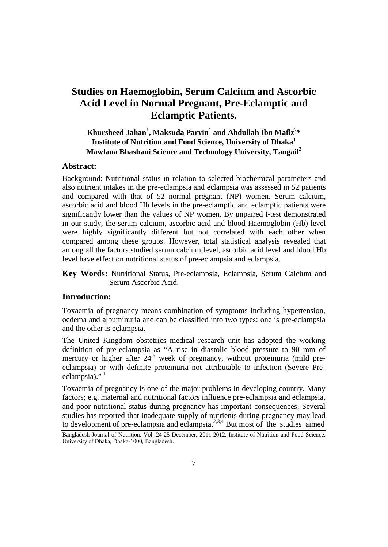# **Studies on Haemoglobin, Serum Calcium and Ascorbic Acid Level in Normal Pregnant, Pre-Eclamptic and Eclamptic Patients.**

# **Khursheed Jahan**<sup>1</sup> **, Maksuda Parvin**<sup>1</sup> **and Abdullah Ibn Mafiz**<sup>2</sup> **\* Institute of Nutrition and Food Science, University of Dhaka**<sup>1</sup> **Mawlana Bhashani Science and Technology University, Tangail**<sup>2</sup>

#### **Abstract:**

Background: Nutritional status in relation to selected biochemical parameters and also nutrient intakes in the pre-eclampsia and eclampsia was assessed in 52 patients and compared with that of 52 normal pregnant (NP) women. Serum calcium, ascorbic acid and blood Hb levels in the pre-eclamptic and eclamptic patients were significantly lower than the values of NP women. By unpaired t-test demonstrated in our study, the serum calcium, ascorbic acid and blood Haemoglobin (Hb) level were highly significantly different but not correlated with each other when compared among these groups. However, total statistical analysis revealed that among all the factors studied serum calcium level, ascorbic acid level and blood Hb level have effect on nutritional status of pre-eclampsia and eclampsia.

**Key Words:** Nutritional Status, Pre-eclampsia, Eclampsia, Serum Calcium and Serum Ascorbic Acid.

## **Introduction:**

Toxaemia of pregnancy means combination of symptoms including hypertension, oedema and albuminuria and can be classified into two types: one is pre-eclampsia and the other is eclampsia.

The United Kingdom obstetrics medical research unit has adopted the working definition of pre-eclampsia as "A rise in diastolic blood pressure to 90 mm of mercury or higher after  $24<sup>th</sup>$  week of pregnancy, without proteinuria (mild preeclampsia) or with definite proteinuria not attributable to infection (Severe Preeclampsia)."<sup>1</sup>

Toxaemia of pregnancy is one of the major problems in developing country. Many factors; e.g. maternal and nutritional factors influence pre-eclampsia and eclampsia, and poor nutritional status during pregnancy has important consequences. Several studies has reported that inadequate supply of nutrients during pregnancy may lead to development of pre-eclampsia and eclampsia.<sup>2,3,4</sup> But most of the studies aimed

Bangladesh Journal of Nutrition. Vol. 24-25 December, 2011-2012. Institute of Nutrition and Food Science, University of Dhaka, Dhaka-1000, Bangladesh.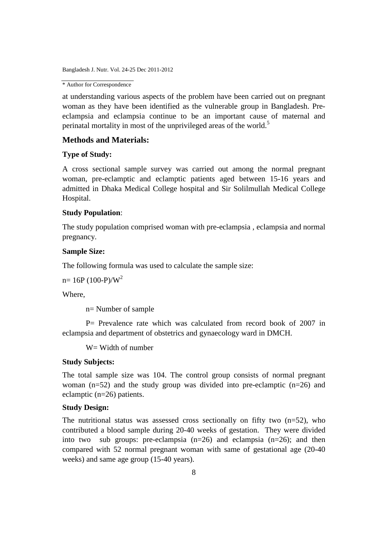```
* Author for Correspondence
```
at understanding various aspects of the problem have been carried out on pregnant woman as they have been identified as the vulnerable group in Bangladesh. Preeclampsia and eclampsia continue to be an important cause of maternal and perinatal mortality in most of the unprivileged areas of the world.<sup>5</sup>

### **Methods and Materials:**

#### **Type of Study:**

A cross sectional sample survey was carried out among the normal pregnant woman, pre-eclamptic and eclamptic patients aged between 15-16 years and admitted in Dhaka Medical College hospital and Sir Solilmullah Medical College Hospital.

#### **Study Population**:

The study population comprised woman with pre-eclampsia , eclampsia and normal pregnancy.

#### **Sample Size:**

The following formula was used to calculate the sample size:

 $n= 16P (100-P)/W^2$ 

Where,

n= Number of sample

P= Prevalence rate which was calculated from record book of 2007 in eclampsia and department of obstetrics and gynaecology ward in DMCH.

W= Width of number

#### **Study Subjects:**

The total sample size was 104. The control group consists of normal pregnant woman (n=52) and the study group was divided into pre-eclamptic (n=26) and eclamptic (n=26) patients.

#### **Study Design:**

The nutritional status was assessed cross sectionally on fifty two  $(n=52)$ , who contributed a blood sample during 20-40 weeks of gestation. They were divided into two sub groups: pre-eclampsia  $(n=26)$  and eclampsia  $(n=26)$ ; and then compared with 52 normal pregnant woman with same of gestational age (20-40 weeks) and same age group (15-40 years).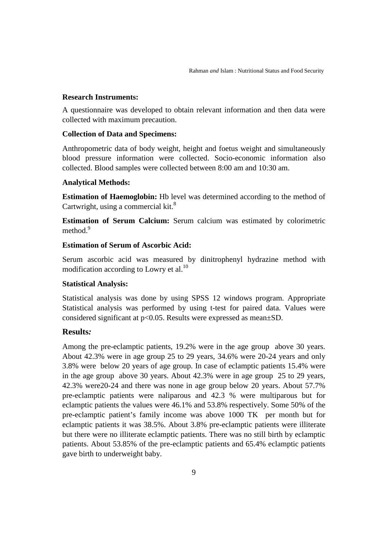#### **Research Instruments:**

A questionnaire was developed to obtain relevant information and then data were collected with maximum precaution.

#### **Collection of Data and Specimens:**

Anthropometric data of body weight, height and foetus weight and simultaneously blood pressure information were collected. Socio-economic information also collected. Blood samples were collected between 8:00 am and 10:30 am.

#### **Analytical Methods:**

**Estimation of Haemoglobin:** Hb level was determined according to the method of Cartwright, using a commercial kit. $8<sup>8</sup>$ 

**Estimation of Serum Calcium:** Serum calcium was estimated by colorimetric method.<sup>9</sup>

#### **Estimation of Serum of Ascorbic Acid:**

Serum ascorbic acid was measured by dinitrophenyl hydrazine method with modification according to Lowry et al.<sup>10</sup>

#### **Statistical Analysis:**

Statistical analysis was done by using SPSS 12 windows program. Appropriate Statistical analysis was performed by using t-test for paired data. Values were considered significant at p<0.05. Results were expressed as mean±SD.

#### **Results***:*

Among the pre-eclamptic patients, 19.2% were in the age group above 30 years. About 42.3% were in age group 25 to 29 years, 34.6% were 20-24 years and only 3.8% were below 20 years of age group. In case of eclamptic patients 15.4% were in the age group above 30 years. About 42.3% were in age group 25 to 29 years, 42.3% were20-24 and there was none in age group below 20 years. About 57.7% pre-eclamptic patients were naliparous and 42.3 % were multiparous but for eclamptic patients the values were 46.1% and 53.8% respectively. Some 50% of the pre-eclamptic patient's family income was above 1000 TK per month but for eclamptic patients it was 38.5%. About 3.8% pre-eclamptic patients were illiterate but there were no illiterate eclamptic patients. There was no still birth by eclamptic patients. About 53.85% of the pre-eclamptic patients and 65.4% eclamptic patients gave birth to underweight baby.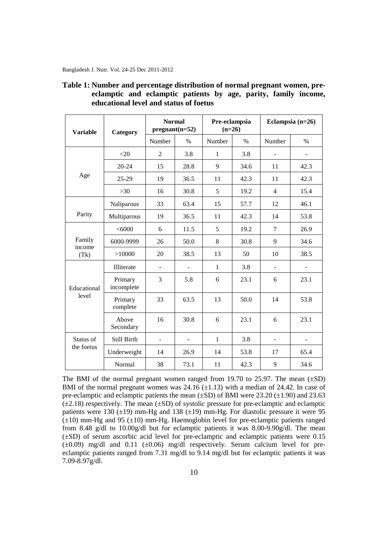| <b>Variable</b>          | Category              | <b>Normal</b><br>$pregnant(n=52)$ |      | Pre-eclampsia<br>$(n=26)$ |               | Eclampsia $(n=26)$ |      |
|--------------------------|-----------------------|-----------------------------------|------|---------------------------|---------------|--------------------|------|
|                          |                       | Number                            | $\%$ | Number                    | $\frac{0}{0}$ | Number             | $\%$ |
| Age                      | <20                   | $\overline{c}$                    | 3.8  | $\mathbf{1}$              | 3.8           |                    |      |
|                          | $20 - 24$             | 15                                | 28.8 | 9                         | 34.6          | 11                 | 42.3 |
|                          | $25-29$               | 19                                | 36.5 | 11                        | 42.3          | 11                 | 42.3 |
|                          | >30                   | 16                                | 30.8 | 5                         | 19.2          | $\overline{4}$     | 15.4 |
| Parity                   | Naliparous            | 33                                | 63.4 | 15                        | 57.7          | 12                 | 46.1 |
|                          | Multiparous           | 19                                | 36.5 | 11                        | 42.3          | 14                 | 53.8 |
| Family<br>income<br>(Tk) | < 6000                | 6                                 | 11.5 | 5                         | 19.2          | $\tau$             | 26.9 |
|                          | 6000-9999             | 26                                | 50.0 | 8                         | 30.8          | 9                  | 34.6 |
|                          | >10000                | 20                                | 38.5 | 13                        | 50            | 10                 | 38.5 |
| Educational<br>level     | Illiterate            |                                   |      | $\mathbf{1}$              | 3.8           |                    |      |
|                          | Primary<br>incomplete | 3                                 | 5.8  | 6                         | 23.1          | 6                  | 23.1 |
|                          | Primary<br>complete   | 33                                | 63.5 | 13                        | 50.0          | 14                 | 53.8 |
|                          | Above<br>Secondary    | 16                                | 30.8 | 6                         | 23.1          | 6                  | 23.1 |
| Status of<br>the foetus  | Still Birth           |                                   |      | $\mathbf{1}$              | 3.8           |                    |      |
|                          | Underweight           | 14                                | 26.9 | 14                        | 53.8          | 17                 | 65.4 |
|                          | Normal                | 38                                | 73.1 | 11                        | 42.3          | 9                  | 34.6 |

## **Table 1: Number and percentage distribution of normal pregnant women, preeclamptic and eclamptic patients by age, parity, family income, educational level and status of foetus**

The BMI of the normal pregnant women ranged from 19.70 to 25.97. The mean  $(\pm SD)$ BMI of the normal pregnant women was  $24.16 \ (\pm 1.13)$  with a median of 24.42. In case of pre-eclamptic and eclamptic patients the mean  $(\pm SD)$  of BMI were 23.20  $(\pm 1.90)$  and 23.63  $(\pm 2.18)$  respectively. The mean  $(\pm SD)$  of systolic pressure for pre-eclamptic and eclamptic patients were 130 ( $\pm$ 19) mm-Hg and 138 ( $\pm$ 19) mm-Hg. For diastolic pressure it were 95  $(t=10)$  mm-Hg and 95 ( $\pm$ 10) mm-Hg. Haemoglobin level for pre-eclamptic patients ranged from 8.48 g/dl to 10.00g/dl but for eclamptic patients it was 8.00-9.90g/dl. The mean (±SD) of serum ascorbic acid level for pre-eclamptic and eclamptic patients were 0.15  $(\pm 0.09)$  mg/dl and 0.11 ( $\pm 0.06$ ) mg/dl respectively. Serum calcium level for preeclamptic patients ranged from 7.31 mg/dl to 9.14 mg/dl but for eclamptic patients it was 7.09-8.97g/dl.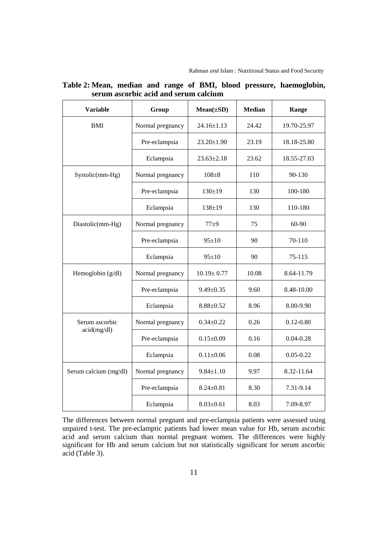| <b>Variable</b>       | Group            | $Mean(\pm SD)$   | <b>Median</b> | Range         |
|-----------------------|------------------|------------------|---------------|---------------|
| <b>BMI</b>            | Normal pregnancy | $24.16 \pm 1.13$ | 24.42         | 19.70-25.97   |
|                       | Pre-eclampsia    | $23.20 \pm 1.90$ | 23.19         | 18.18-25.80   |
|                       | Eclampsia        | $23.63 \pm 2.18$ | 23.62         | 18.55-27.03   |
| Systolic(mm-Hg)       | Normal pregnancy | $108 + 8$        | 110           | 90-130        |
|                       | Pre-eclampsia    | $130 \pm 19$     | 130           | 100-180       |
|                       | Eclampsia        | $138 + 19$       | 130           | 110-180       |
| Diastolic(mm-Hg)      | Normal pregnancy | $77+9$           | 75            | 60-90         |
|                       | Pre-eclampsia    | $95 \pm 10$      | 90            | 70-110        |
|                       | Eclampsia        | $95 \pm 10$      | 90            | 75-115        |
| Hemoglobin (g/dl)     | Normal pregnancy | $10.19 \pm 0.77$ | 10.08         | 8.64-11.79    |
|                       | Pre-eclampsia    | $9.49 \pm 0.35$  | 9.60          | 8.48-10.00    |
|                       | Eclampsia        | $8.88 \pm 0.52$  | 8.96          | 8.00-9.90     |
| Serum ascorbic        | Normal pregnancy | $0.34 \pm 0.22$  | 0.26          | $0.12 - 0.80$ |
| acid(mg/dl)           | Pre-eclampsia    | $0.15 \pm 0.09$  | 0.16          | $0.04 - 0.28$ |
|                       | Eclampsia        | $0.11 \pm 0.06$  | 0.08          | $0.05 - 0.22$ |
| Serum calcium (mg/dl) | Normal pregnancy | $9.84 \pm 1.10$  | 9.97          | 8.32-11.64    |
|                       | Pre-eclampsia    | $8.24 \pm 0.81$  | 8.30          | 7.31-9.14     |
|                       | Eclampsia        | $8.03 \pm 0.61$  | 8.03          | 7.09-8.97     |

**Table 2: Mean, median and range of BMI, blood pressure, haemoglobin, serum ascorbic acid and serum calcium** 

The differences between normal pregnant and pre-eclampsia patients were assessed using unpaired t-test. The pre-eclamptic patients had lower mean value for Hb, serum ascorbic acid and serum calcium than normal pregnant women. The differences were highly significant for Hb and serum calcium but not statistically significant for serum ascorbic acid (Table 3).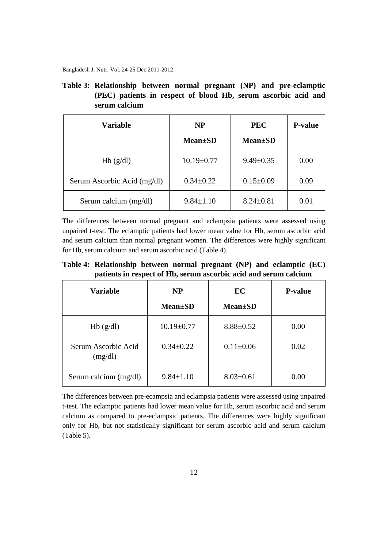| Table 3: Relationship between normal pregnant (NP) and pre-eclamptic |
|----------------------------------------------------------------------|
| (PEC) patients in respect of blood Hb, serum ascorbic acid and       |
| serum calcium                                                        |

| <b>Variable</b>             | <b>NP</b>        | <b>PEC</b>      | <b>P-value</b> |
|-----------------------------|------------------|-----------------|----------------|
|                             | <b>Mean</b> ±SD  | <b>Mean</b> ±SD |                |
| Hb(g/dl)                    | $10.19 \pm 0.77$ | $9.49 \pm 0.35$ | 0.00           |
| Serum Ascorbic Acid (mg/dl) | $0.34 \pm 0.22$  | $0.15 \pm 0.09$ | 0.09           |
| Serum calcium (mg/dl)       | $9.84 \pm 1.10$  | $8.24 \pm 0.81$ | 0.01           |

The differences between normal pregnant and eclampsia patients were assessed using unpaired t-test. The eclamptic patients had lower mean value for Hb, serum ascorbic acid and serum calcium than normal pregnant women. The differences were highly significant for Hb, serum calcium and serum ascorbic acid (Table 4).

**Table 4: Relationship between normal pregnant (NP) and eclamptic (EC) patients in respect of Hb, serum ascorbic acid and serum calcium**

| <b>Variable</b>                | <b>NP</b>        | EC                          | <b>P-value</b> |
|--------------------------------|------------------|-----------------------------|----------------|
|                                | <b>Mean</b> ±SD  | <b>Mean</b> <sup>t</sup> SD |                |
| Hb(g/dl)                       | $10.19 \pm 0.77$ | $8.88 \pm 0.52$             | 0.00           |
| Serum Ascorbic Acid<br>(mg/dl) | $0.34 \pm 0.22$  | $0.11 \pm 0.06$             | 0.02           |
| Serum calcium (mg/dl)          | $9.84 \pm 1.10$  | $8.03 \pm 0.61$             | 0.00           |

The differences between pre-ecampsia and eclampsia patients were assessed using unpaired t-test. The eclamptic patients had lower mean value for Hb, serum ascorbic acid and serum calcium as compared to pre-eclampsic patients. The differences were highly significant only for Hb, but not statistically significant for serum ascorbic acid and serum calcium (Table 5).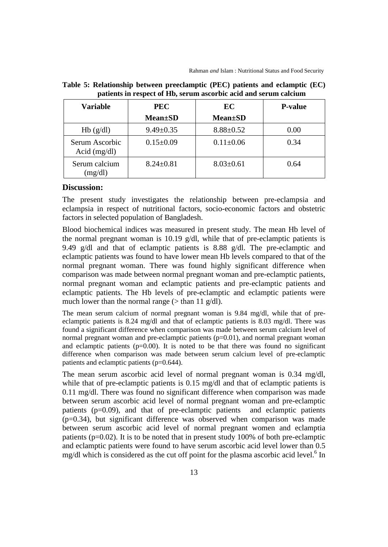| <b>Variable</b>                  | <b>PEC</b>      | EC                          | <b>P-value</b> |
|----------------------------------|-----------------|-----------------------------|----------------|
|                                  | <b>Mean</b> ±SD | <b>Mean</b> <sup>t</sup> SD |                |
| Hb(g/dl)                         | $9.49 \pm 0.35$ | $8.88 \pm 0.52$             | 0.00           |
| Serum Ascorbic<br>Acid $(mg/dl)$ | $0.15 \pm 0.09$ | $0.11 \pm 0.06$             | 0.34           |
| Serum calcium<br>(mg/dl)         | $8.24 \pm 0.81$ | $8.03 \pm 0.61$             | 0.64           |

**Table 5: Relationship between preeclamptic (PEC) patients and eclamptic (EC) patients in respect of Hb, serum ascorbic acid and serum calcium**

#### **Discussion:**

The present study investigates the relationship between pre-eclampsia and eclampsia in respect of nutritional factors, socio-economic factors and obstetric factors in selected population of Bangladesh.

Blood biochemical indices was measured in present study. The mean Hb level of the normal pregnant woman is 10.19  $g/dl$ , while that of pre-eclamptic patients is 9.49 g/dl and that of eclamptic patients is 8.88 g/dl. The pre-eclamptic and eclamptic patients was found to have lower mean Hb levels compared to that of the normal pregnant woman. There was found highly significant difference when comparison was made between normal pregnant woman and pre-eclamptic patients, normal pregnant woman and eclamptic patients and pre-eclamptic patients and eclamptic patients. The Hb levels of pre-eclamptic and eclamptic patients were much lower than the normal range ( $>$  than 11 g/dl).

The mean serum calcium of normal pregnant woman is 9.84 mg/dl, while that of preeclamptic patients is 8.24 mg/dl and that of eclamptic patients is 8.03 mg/dl. There was found a significant difference when comparison was made between serum calcium level of normal pregnant woman and pre-eclamptic patients (p=0.01), and normal pregnant woman and eclamptic patients ( $p=0.00$ ). It is noted to be that there was found no significant difference when comparison was made between serum calcium level of pre-eclamptic patients and eclamptic patients (p=0.644).

The mean serum ascorbic acid level of normal pregnant woman is 0.34 mg/dl, while that of pre-eclamptic patients is 0.15 mg/dl and that of eclamptic patients is 0.11 mg/dl. There was found no significant difference when comparison was made between serum ascorbic acid level of normal pregnant woman and pre-eclamptic patients (p=0.09), and that of pre-eclamptic patients and eclamptic patients  $(p=0.34)$ , but significant difference was observed when comparison was made between serum ascorbic acid level of normal pregnant women and eclamptia patients ( $p=0.02$ ). It is to be noted that in present study 100% of both pre-eclamptic and eclamptic patients were found to have serum ascorbic acid level lower than 0.5 mg/dl which is considered as the cut off point for the plasma ascorbic acid level.<sup>6</sup> In